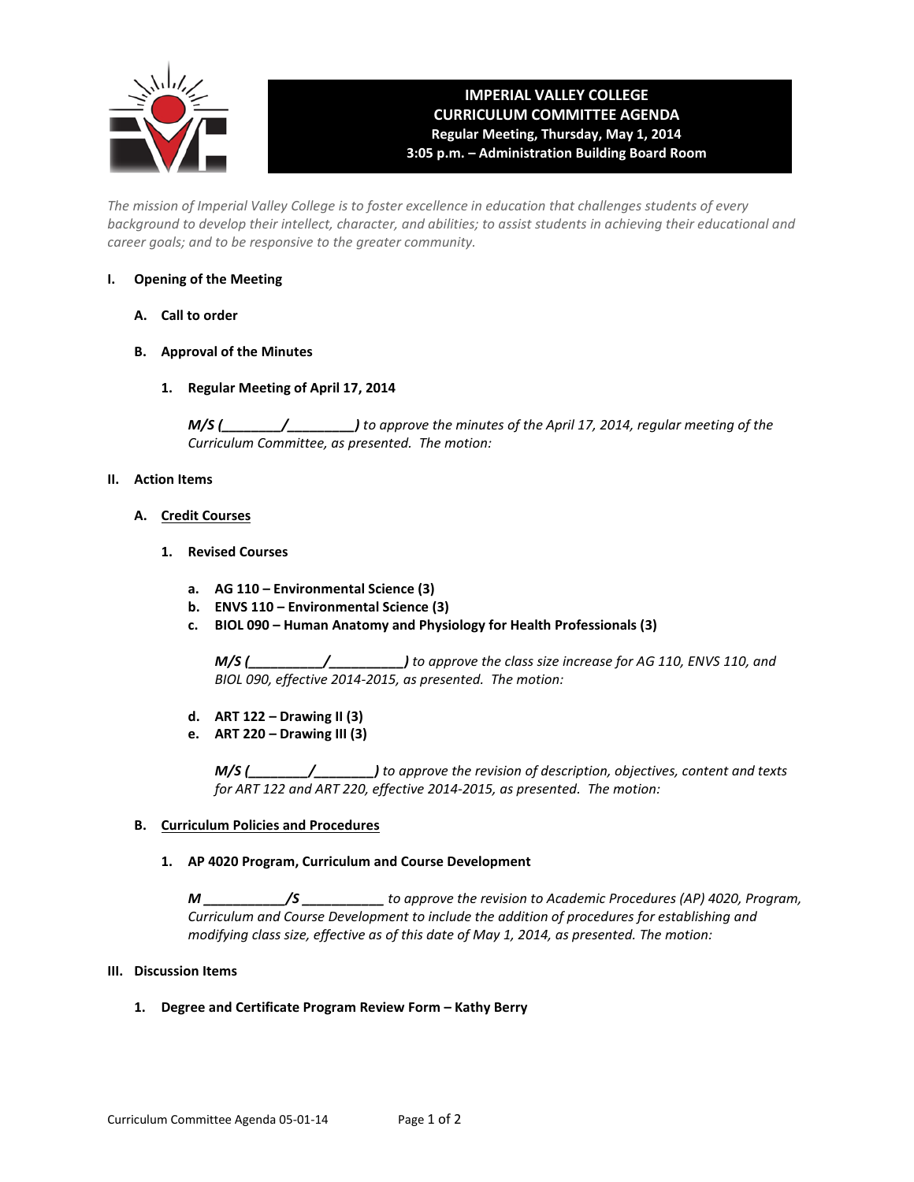

# **IMPERIAL VALLEY COLLEGE CURRICULUM COMMITTEE AGENDA Regular Meeting, Thursday, May 1, 2014 3:05 p.m. – Administration Building Board Room**

*The mission of Imperial Valley College is to foster excellence in education that challenges students of every background to develop their intellect, character, and abilities; to assist students in achieving their educational and career goals; and to be responsive to the greater community.*

## **I. Opening of the Meeting**

- **A. Call to order**
- **B. Approval of the Minutes**
	- **1. Regular Meeting of April 17, 2014**

*M/S (\_\_\_\_\_\_\_\_/\_\_\_\_\_\_\_\_\_) to approve the minutes of the April 17, 2014, regular meeting of the Curriculum Committee, as presented. The motion:* 

## **II. Action Items**

## **A. Credit Courses**

- **1. Revised Courses**
	- **a. AG 110 – Environmental Science (3)**
	- **b. ENVS 110 – Environmental Science (3)**
	- **c. BIOL 090 – Human Anatomy and Physiology for Health Professionals (3)**

*M/S (\_\_\_\_\_\_\_\_\_\_/\_\_\_\_\_\_\_\_\_\_) to approve the class size increase for AG 110, ENVS 110, and BIOL 090, effective 2014-2015, as presented. The motion:*

- **d. ART 122 – Drawing II (3)**
- **e. ART 220 – Drawing III (3)**

*M/S (\_\_\_\_\_\_\_\_/\_\_\_\_\_\_\_\_) to approve the revision of description, objectives, content and texts for ART 122 and ART 220, effective 2014-2015, as presented. The motion:*

### **B. Curriculum Policies and Procedures**

### **1. AP 4020 Program, Curriculum and Course Development**

*M \_\_\_\_\_\_\_\_\_\_\_/S \_\_\_\_\_\_\_\_\_\_\_ to approve the revision to Academic Procedures (AP) 4020, Program, Curriculum and Course Development to include the addition of procedures for establishing and modifying class size, effective as of this date of May 1, 2014, as presented. The motion:*

### **III. Discussion Items**

**1. Degree and Certificate Program Review Form – Kathy Berry**